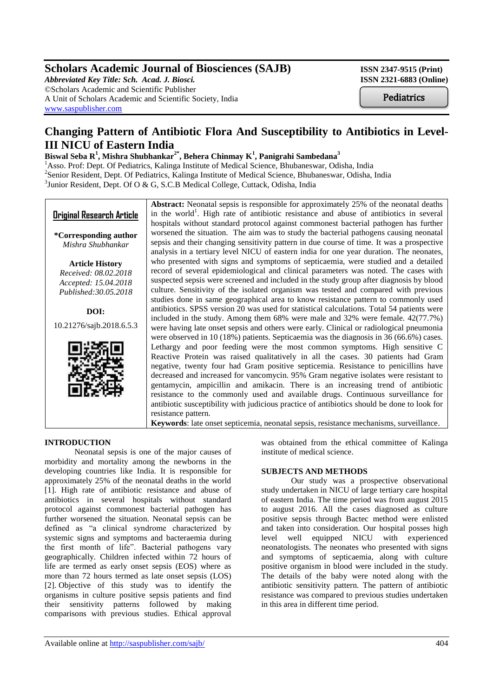## **Scholars Academic Journal of Biosciences (SAJB)** ISSN 2347-9515 (Print)

*Abbreviated Key Title: Sch. Acad. J. Biosci.* **ISSN 2321-6883 (Online)** ©Scholars Academic and Scientific Publisher A Unit of Scholars Academic and Scientific Society, India [www.saspublisher.com](http://www.saspublisher.com/)

**Pediatrics** 

# **Changing Pattern of Antibiotic Flora And Susceptibility to Antibiotics in Level-III NICU of Eastern India**

## **Biswal Seba R<sup>1</sup> , Mishra Shubhankar2\* , Behera Chinmay K<sup>1</sup> , Panigrahi Sambedana<sup>3</sup>**

<sup>1</sup>Asso. Prof: Dept. Of Pediatrics, Kalinga Institute of Medical Science, Bhubaneswar, Odisha, India <sup>2</sup>Senior Resident, Dept. Of Pediatrics, Kalinga Institute of Medical Science, Bhubaneswar, Odisha, India <sup>3</sup>Junior Resident, Dept. Of O & G, S.C.B Medical College, Cuttack, Odisha, India

## **Original Research Article**

**\*Corresponding author** *Mishra Shubhankar*

**Article History** *Received: 08.02.2018 Accepted: 15.04.2018 Published:30.05.2018*

**DOI:** 10.21276/sajb.2018.6.5.3



**Abstract:** Neonatal sepsis is responsible for approximately 25% of the neonatal deaths in the world<sup>1</sup>. High rate of antibiotic resistance and abuse of antibiotics in several hospitals without standard protocol against commonest bacterial pathogen has further worsened the situation. The aim was to study the bacterial pathogens causing neonatal sepsis and their changing sensitivity pattern in due course of time. It was a prospective analysis in a tertiary level NICU of eastern india for one year duration. The neonates, who presented with signs and symptoms of septicaemia, were studied and a detailed record of several epidemiological and clinical parameters was noted. The cases with suspected sepsis were screened and included in the study group after diagnosis by blood culture. Sensitivity of the isolated organism was tested and compared with previous studies done in same geographical area to know resistance pattern to commonly used antibiotics. SPSS version 20 was used for statistical calculations. Total 54 patients were included in the study. Among them 68% were male and 32% were female. 42(77.7%) were having late onset sepsis and others were early. Clinical or radiological pneumonia were observed in 10 (18%) patients. Septicaemia was the diagnosis in 36 (66.6%) cases. Lethargy and poor feeding were the most common symptoms. High sensitive C Reactive Protein was raised qualitatively in all the cases. 30 patients had Gram negative, twenty four had Gram positive septicemia. Resistance to penicillins have decreased and increased for vancomycin. 95% Gram negative isolates were resistant to gentamycin, ampicillin and amikacin. There is an increasing trend of antibiotic resistance to the commonly used and available drugs. Continuous surveillance for antibiotic susceptibility with judicious practice of antibiotics should be done to look for resistance pattern.

**Keywords**: late onset septicemia, neonatal sepsis, resistance mechanisms, surveillance.

#### **INTRODUCTION**

Neonatal sepsis is one of the major causes of morbidity and mortality among the newborns in the developing countries like India. It is responsible for approximately 25% of the neonatal deaths in the world [1]. High rate of antibiotic resistance and abuse of antibiotics in several hospitals without standard protocol against commonest bacterial pathogen has further worsened the situation. Neonatal sepsis can be defined as "a clinical syndrome characterized by systemic signs and symptoms and bacteraemia during the first month of life". Bacterial pathogens vary geographically. Children infected within 72 hours of life are termed as early onset sepsis (EOS) where as more than 72 hours termed as late onset sepsis (LOS) [2]. Objective of this study was to identify the organisms in culture positive sepsis patients and find their sensitivity patterns followed by making comparisons with previous studies. Ethical approval

was obtained from the ethical committee of Kalinga institute of medical science.

#### **SUBJECTS AND METHODS**

Our study was a prospective observational study undertaken in NICU of large tertiary care hospital of eastern India. The time period was from august 2015 to august 2016. All the cases diagnosed as culture positive sepsis through Bactec method were enlisted and taken into consideration. Our hospital posses high level well equipped NICU with experienced neonatologists. The neonates who presented with signs and symptoms of septicaemia, along with culture positive organism in blood were included in the study. The details of the baby were noted along with the antibiotic sensitivity pattern. The pattern of antibiotic resistance was compared to previous studies undertaken in this area in different time period.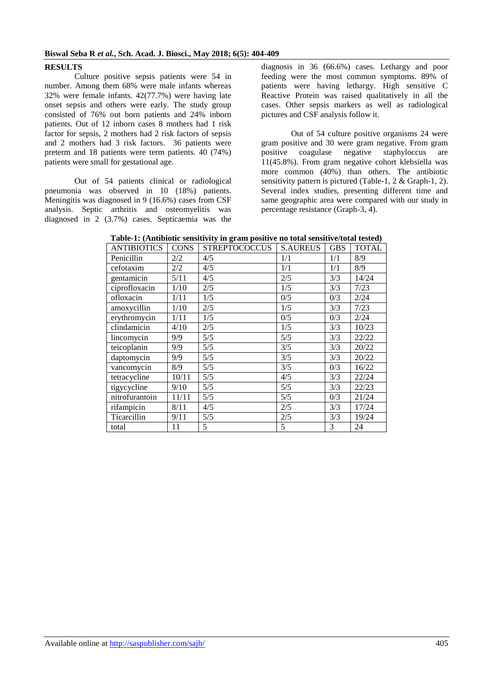#### **Biswal Seba R** *et al.***, Sch. Acad. J. Biosci., May 2018; 6(5): 404-409**

#### **RESULTS**

Culture positive sepsis patients were 54 in number. Among them 68% were male infants whereas 32% were female infants. 42(77.7%) were having late onset sepsis and others were early. The study group consisted of 76% out born patients and 24% inborn patients. Out of 12 inborn cases 8 mothers had 1 risk factor for sepsis, 2 mothers had 2 risk factors of sepsis and 2 mothers had 3 risk factors. 36 patients were preterm and 18 patients were term patients. 40 (74%) patients were small for gestational age.

Out of 54 patients clinical or radiological pneumonia was observed in 10 (18%) patients. Meningitis was diagnosed in 9 (16.6%) cases from CSF analysis. Septic arthritis and osteomyelitis was diagnosed in 2 (3.7%) cases. Septicaemia was the

diagnosis in 36 (66.6%) cases. Lethargy and poor feeding were the most common symptoms. 89% of patients were having lethargy. High sensitive C Reactive Protein was raised qualitatively in all the cases. Other sepsis markers as well as radiological pictures and CSF analysis follow it.

Out of 54 culture positive organisms 24 were gram positive and 30 were gram negative. From gram positive coagulase negative staphyloccus are 11(45.8%). From gram negative cohort klebsiella was more common (40%) than others. The antibiotic sensitivity pattern is pictured (Table-1, 2 & Graph-1, 2). Several index studies, presenting different time and same geographic area were compared with our study in percentage resistance (Graph-3, 4).

| <b>ANTIBIOTICS</b> | <b>CONS</b> | <b>STREPTOCOCCUS</b> | <b>S.AUREUS</b> | <b>GBS</b> | <b>TOTAL</b> |
|--------------------|-------------|----------------------|-----------------|------------|--------------|
| Penicillin         | 2/2         | 4/5                  | 1/1             | 1/1        | 8/9          |
| cefotaxim          | 2/2         | 4/5                  | 1/1             | 1/1        | 8/9          |
| gentamicin         | 5/11        | 4/5                  | 2/5             | 3/3        | 14/24        |
| ciprofloxacin      | 1/10        | 2/5                  | 1/5             | 3/3        | 7/23         |
| ofloxacin          | 1/11        | 1/5                  | 0/5             | 0/3        | 2/24         |
| amoxycillin        | 1/10        | 2/5                  | 1/5             | 3/3        | 7/23         |
| erythromycin       | 1/11        | 1/5                  | 0/5             | 0/3        | 2/24         |
| clindamicin        | 4/10        | 2/5                  | 1/5             | 3/3        | 10/23        |
| lincomycin         | 9/9         | $5/5$                | 5/5             | 3/3        | 22/22        |
| teicoplanin        | 9/9         | 5/5                  | 3/5             | 3/3        | 20/22        |
| daptomycin         | 9/9         | 5/5                  | 3/5             | 3/3        | 20/22        |
| vancomycin         | 8/9         | 5/5                  | 3/5             | 0/3        | 16/22        |
| tetracycline       | 10/11       | 5/5                  | 4/5             | 3/3        | 22/24        |
| tigycycline        | 9/10        | $5/5$                | 5/5             | 3/3        | 22/23        |
| nitrofurantoin     | 11/11       | 5/5                  | 5/5             | 0/3        | 21/24        |
| rifampicin         | 8/11        | 4/5                  | 2/5             | 3/3        | 17/24        |
| Ticarcillin        | 9/11        | 5/5                  | 2/5             | 3/3        | 19/24        |
| total              | 11          | 5                    | 5               | 3          | 24           |

**Table-1: (Antibiotic sensitivity in gram positive no total sensitive/total tested)**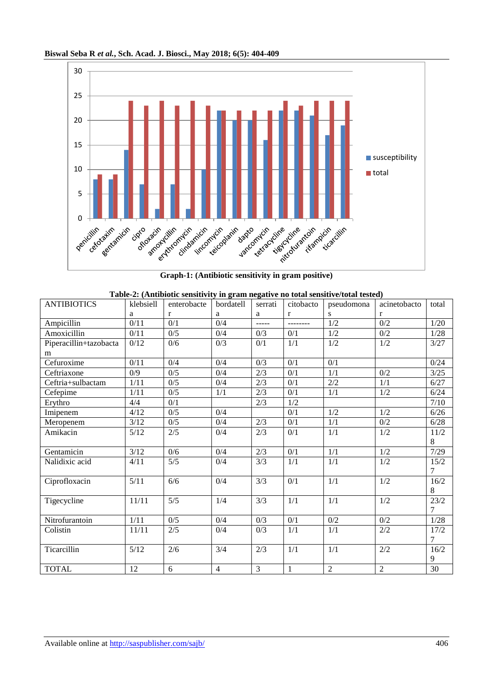



**Graph-1: (Antibiotic sensitivity in gram positive)**

|  |  | Table-2: (Antibiotic sensitivity in gram negative no total sensitive/total tested) |  |
|--|--|------------------------------------------------------------------------------------|--|
|  |  |                                                                                    |  |

| <b>ANTIBIOTICS</b>     | klebsiell | enterobacte | bordatell      | serrati | citobacto        | pseudomona     | acinetobacto     | total |
|------------------------|-----------|-------------|----------------|---------|------------------|----------------|------------------|-------|
|                        | a         | r           | a              | a       | r                | S              | r                |       |
| Ampicillin             | 0/11      | 0/1         | 0/4            | -----   | --------         | 1/2            | 0/2              | 1/20  |
| Amoxicillin            | 0/11      | 0/5         | 0/4            | 0/3     | 0/1              | 1/2            | 0/2              | 1/28  |
| Piperacillin+tazobacta | 0/12      | 0/6         | 0/3            | 0/1     | 1/1              | 1/2            | 1/2              | 3/27  |
| m                      |           |             |                |         |                  |                |                  |       |
| Cefuroxime             | 0/11      | 0/4         | 0/4            | 0/3     | 0/1              | 0/1            |                  | 0/24  |
| Ceftriaxone            | 0/9       | 0/5         | 0/4            | 2/3     | 0/1              | 1/1            | $0/2$            | 3/25  |
| Ceftria+sulbactam      | 1/11      | 0/5         | 0/4            | 2/3     | 0/1              | 2/2            | 1/1              | 6/27  |
| Cefepime               | 1/11      | 0/5         | 1/1            | 2/3     | 0/1              | 1/1            | 1/2              | 6/24  |
| Erythro                | 4/4       | 0/1         |                | 2/3     | 1/2              |                |                  | 7/10  |
| Imipenem               | 4/12      | 0/5         | 0/4            |         | 0/1              | 1/2            | 1/2              | 6/26  |
| Meropenem              | 3/12      | 0/5         | 0/4            | 2/3     | 0/1              | 1/1            | 0/2              | 6/28  |
| Amikacin               | 5/12      | 2/5         | 0/4            | 2/3     | 0/1              | 1/1            | 1/2              | 11/2  |
|                        |           |             |                |         |                  |                |                  | 8     |
| Gentamicin             | 3/12      | 0/6         | 0/4            | 2/3     | 0/1              | 1/1            | 1/2              | 7/29  |
| Nalidixic acid         | 4/11      | 5/5         | 0/4            | 3/3     | 1/1              | 1/1            | 1/2              | 15/2  |
|                        |           |             |                |         |                  |                |                  | 7     |
| Ciprofloxacin          | 5/11      | 6/6         | 0/4            | 3/3     | $\overline{0/1}$ | 1/1            | $\overline{1/2}$ | 16/2  |
|                        |           |             |                |         |                  |                |                  | 8     |
| Tigecycline            | 11/11     | 5/5         | 1/4            | 3/3     | 1/1              | 1/1            | 1/2              | 23/2  |
|                        |           |             |                |         |                  |                |                  | 7     |
| Nitrofurantoin         | 1/11      | 0/5         | 0/4            | 0/3     | 0/1              | 0/2            | 0/2              | 1/28  |
| Colistin               | 11/11     | 2/5         | 0/4            | 0/3     | 1/1              | 1/1            | $2/2$            | 17/2  |
|                        |           |             |                |         |                  |                |                  | 7     |
| Ticarcillin            | $5/12$    | 2/6         | 3/4            | 2/3     | 1/1              | 1/1            | 2/2              | 16/2  |
|                        |           |             |                |         |                  |                |                  | 9     |
| <b>TOTAL</b>           | 12        | 6           | $\overline{4}$ | 3       | 1                | $\overline{2}$ | $\overline{2}$   | 30    |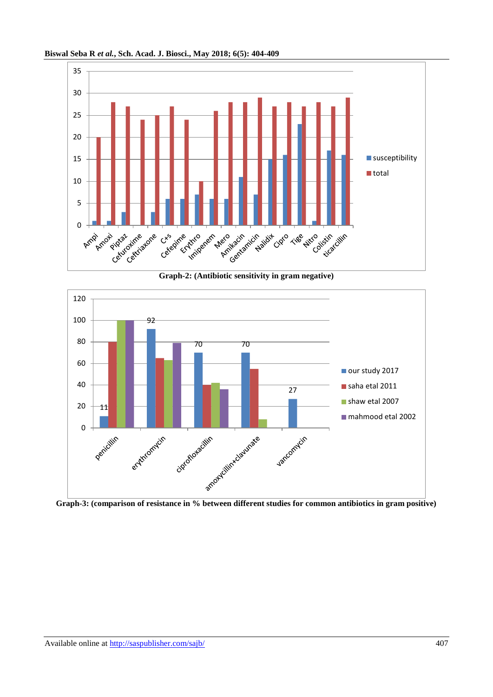

**Biswal Seba R** *et al.***, Sch. Acad. J. Biosci., May 2018; 6(5): 404-409**

**Graph-2: (Antibiotic sensitivity in gram negative)**

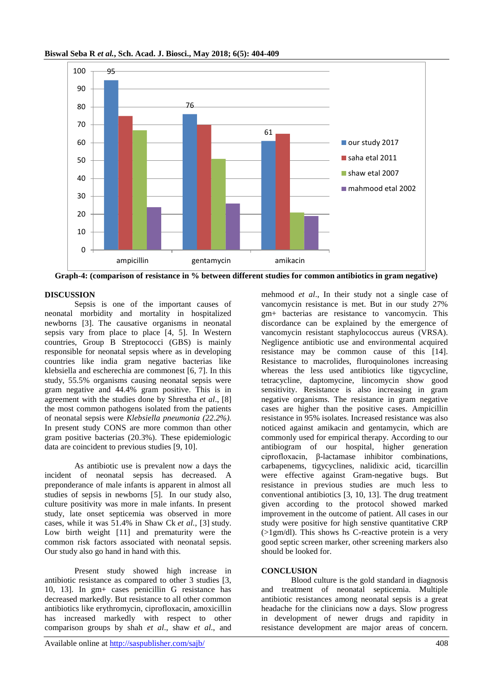

**Biswal Seba R** *et al.***, Sch. Acad. J. Biosci., May 2018; 6(5): 404-409**

**Graph-4: (comparison of resistance in % between different studies for common antibiotics in gram negative)**

#### **DISCUSSION**

Sepsis is one of the important causes of neonatal morbidity and mortality in hospitalized newborns [3]. The causative organisms in neonatal sepsis vary from place to place [4, 5]. In Western countries, Group B Streptococci (GBS) is mainly responsible for neonatal sepsis where as in developing countries like india gram negative bacterias like klebsiella and escherechia are commonest [6, 7]. In this study, 55.5% organisms causing neonatal sepsis were gram negative and 44.4% gram positive. This is in agreement with the studies done by Shrestha *et al*., [8] the most common pathogens isolated from the patients of neonatal sepsis were *Klebsiella pneumonia (22.2%).* In present study CONS are more common than other gram positive bacterias (20.3%). These epidemiologic data are coincident to previous studies [9, 10].

As antibiotic use is prevalent now a days the incident of neonatal sepsis has decreased. A preponderance of male infants is apparent in almost all studies of sepsis in newborns [5]. In our study also, culture positivity was more in male infants. In present study, late onset septicemia was observed in more cases, while it was 51.4% in Shaw Ck *et al.*, [3] study. Low birth weight [11] and prematurity were the common risk factors associated with neonatal sepsis. Our study also go hand in hand with this.

Present study showed high increase in antibiotic resistance as compared to other 3 studies [3, 10, 13]. In gm+ cases penicillin G resistance has decreased markedly. But resistance to all other common antibiotics like erythromycin, ciprofloxacin, amoxicillin has increased markedly with respect to other comparison groups by shah *et al*., shaw *et al*., and

mehmood *et al*., In their study not a single case of vancomycin resistance is met. But in our study 27% gm+ bacterias are resistance to vancomycin. This discordance can be explained by the emergence of vancomycin resistant staphylococcus aureus (VRSA). Negligence antibiotic use and environmental acquired resistance may be common cause of this [14]. Resistance to macrolides, fluroquinolones increasing whereas the less used antibiotics like tigycycline, tetracycline, daptomycine, lincomycin show good sensitivity. Resistance is also increasing in gram negative organisms. The resistance in gram negative cases are higher than the positive cases. Ampicillin resistance in 95% isolates. Increased resistance was also noticed against amikacin and gentamycin, which are commonly used for empirical therapy. According to our antibiogram of our hospital, higher generation ciprofloxacin, β-lactamase inhibitor combinations, carbapenems, tigycyclines, nalidixic acid, ticarcillin were effective against Gram-negative bugs. But resistance in previous studies are much less to conventional antibiotics [3, 10, 13]. The drug treatment given according to the protocol showed marked improvement in the outcome of patient. All cases in our study were positive for high senstive quantitative CRP (>1gm/dl). This shows hs C-reactive protein is a very good septic screen marker, other screening markers also should be looked for.

#### **CONCLUSION**

Blood culture is the gold standard in diagnosis and treatment of neonatal septicemia. Multiple antibiotic resistances among neonatal sepsis is a great headache for the clinicians now a days. Slow progress in development of newer drugs and rapidity in resistance development are major areas of concern.